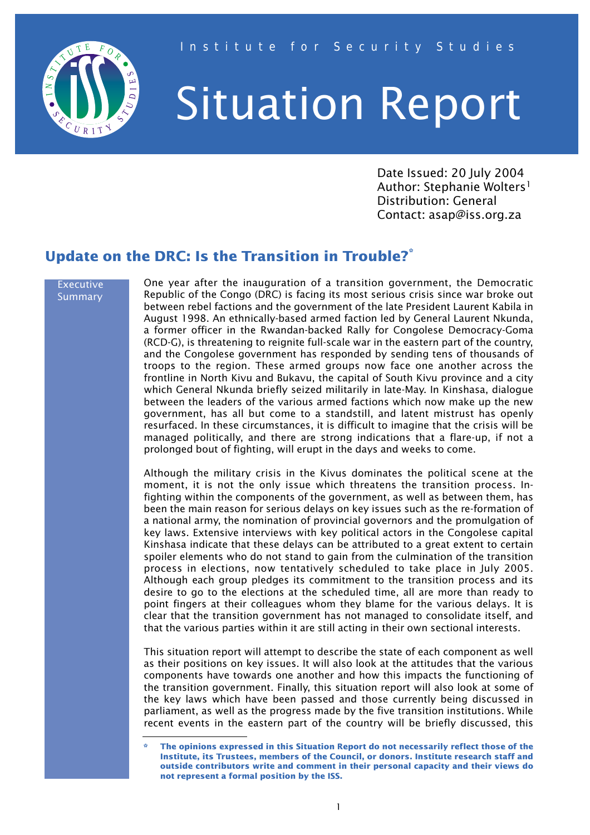

# Situation Report

Date Issued: 20 July 2004 Author: Stephanie Wolters<sup>1</sup> Distribution: General Contact: asap@iss.org.za

# **Update on the DRC: Is the Transition in Trouble?\***

#### Executive Summary

One year after the inauguration of a transition government, the Democratic Republic of the Congo (DRC) is facing its most serious crisis since war broke out between rebel factions and the government of the late President Laurent Kabila in August 1998. An ethnically-based armed faction led by General Laurent Nkunda, a former officer in the Rwandan-backed Rally for Congolese Democracy-Goma (RCD-G), is threatening to reignite full-scale war in the eastern part of the country, and the Congolese government has responded by sending tens of thousands of troops to the region. These armed groups now face one another across the frontline in North Kivu and Bukavu, the capital of South Kivu province and a city which General Nkunda briefly seized militarily in late-May. In Kinshasa, dialogue between the leaders of the various armed factions which now make up the new government, has all but come to a standstill, and latent mistrust has openly resurfaced. In these circumstances, it is difficult to imagine that the crisis will be managed politically, and there are strong indications that a flare-up, if not a prolonged bout of fighting, will erupt in the days and weeks to come.

Although the military crisis in the Kivus dominates the political scene at the moment, it is not the only issue which threatens the transition process. Infighting within the components of the government, as well as between them, has been the main reason for serious delays on key issues such as the re-formation of a national army, the nomination of provincial governors and the promulgation of key laws. Extensive interviews with key political actors in the Congolese capital Kinshasa indicate that these delays can be attributed to a great extent to certain spoiler elements who do not stand to gain from the culmination of the transition process in elections, now tentatively scheduled to take place in July 2005. Although each group pledges its commitment to the transition process and its desire to go to the elections at the scheduled time, all are more than ready to point fingers at their colleagues whom they blame for the various delays. It is clear that the transition government has not managed to consolidate itself, and that the various parties within it are still acting in their own sectional interests.

This situation report will attempt to describe the state of each component as well as their positions on key issues. It will also look at the attitudes that the various components have towards one another and how this impacts the functioning of the transition government. Finally, this situation report will also look at some of the key laws which have been passed and those currently being discussed in parliament, as well as the progress made by the five transition institutions. While recent events in the eastern part of the country will be briefly discussed, this

**<sup>\*</sup> The opinions expressed in this Situation Report do not necessarily reflect those of the Institute, its Trustees, members of the Council, or donors. Institute research staff and outside contributors write and comment in their personal capacity and their views do not represent a formal position by the ISS.**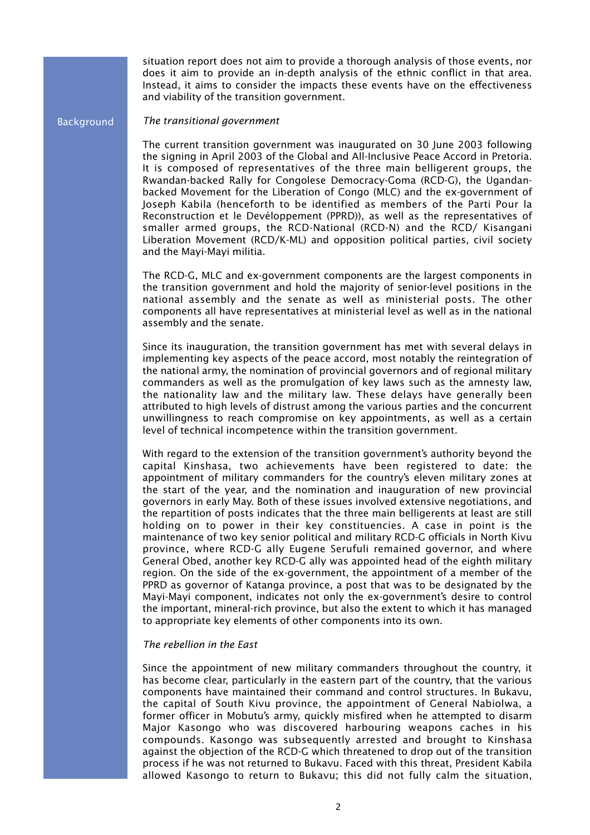situation report does not aim to provide a thorough analysis of those events, nor does it aim to provide an in-depth analysis of the ethnic conflict in that area. Instead, it aims to consider the impacts these events have on the effectiveness and viability of the transition government.

#### Background

*The transitional government*

The current transition government was inaugurated on 30 June 2003 following the signing in April 2003 of the Global and All-Inclusive Peace Accord in Pretoria. It is composed of representatives of the three main belligerent groups, the Rwandan-backed Rally for Congolese Democracy-Goma (RCD-G), the Ugandanbacked Movement for the Liberation of Congo (MLC) and the ex-government of Joseph Kabila (henceforth to be identified as members of the Parti Pour la Reconstruction et le Devéloppement (PPRD)), as well as the representatives of smaller armed groups, the RCD-National (RCD-N) and the RCD/ Kisangani Liberation Movement (RCD/K-ML) and opposition political parties, civil society and the Mayi-Mayi militia.

The RCD-G, MLC and ex-government components are the largest components in the transition government and hold the majority of senior-level positions in the national assembly and the senate as well as ministerial posts. The other components all have representatives at ministerial level as well as in the national assembly and the senate.

Since its inauguration, the transition government has met with several delays in implementing key aspects of the peace accord, most notably the reintegration of the national army, the nomination of provincial governors and of regional military commanders as well as the promulgation of key laws such as the amnesty law, the nationality law and the military law. These delays have generally been attributed to high levels of distrust among the various parties and the concurrent unwillingness to reach compromise on key appointments, as well as a certain level of technical incompetence within the transition government.

With regard to the extension of the transition government's authority beyond the capital Kinshasa, two achievements have been registered to date: the appointment of military commanders for the country's eleven military zones at the start of the year, and the nomination and inauguration of new provincial governors in early May. Both of these issues involved extensive negotiations, and the repartition of posts indicates that the three main belligerents at least are still holding on to power in their key constituencies. A case in point is the maintenance of two key senior political and military RCD-G officials in North Kivu province, where RCD-G ally Eugene Serufuli remained governor, and where General Obed, another key RCD-G ally was appointed head of the eighth military region. On the side of the ex-government, the appointment of a member of the PPRD as governor of Katanga province, a post that was to be designated by the Mayi-Mayi component, indicates not only the ex-government's desire to control the important, mineral-rich province, but also the extent to which it has managed to appropriate key elements of other components into its own.

#### *The rebellion in the East*

Since the appointment of new military commanders throughout the country, it has become clear, particularly in the eastern part of the country, that the various components have maintained their command and control structures. In Bukavu, the capital of South Kivu province, the appointment of General Nabiolwa, a former officer in Mobutu's army, quickly misfired when he attempted to disarm Major Kasongo who was discovered harbouring weapons caches in his compounds. Kasongo was subsequently arrested and brought to Kinshasa against the objection of the RCD-G which threatened to drop out of the transition process if he was not returned to Bukavu. Faced with this threat, President Kabila allowed Kasongo to return to Bukavu; this did not fully calm the situation,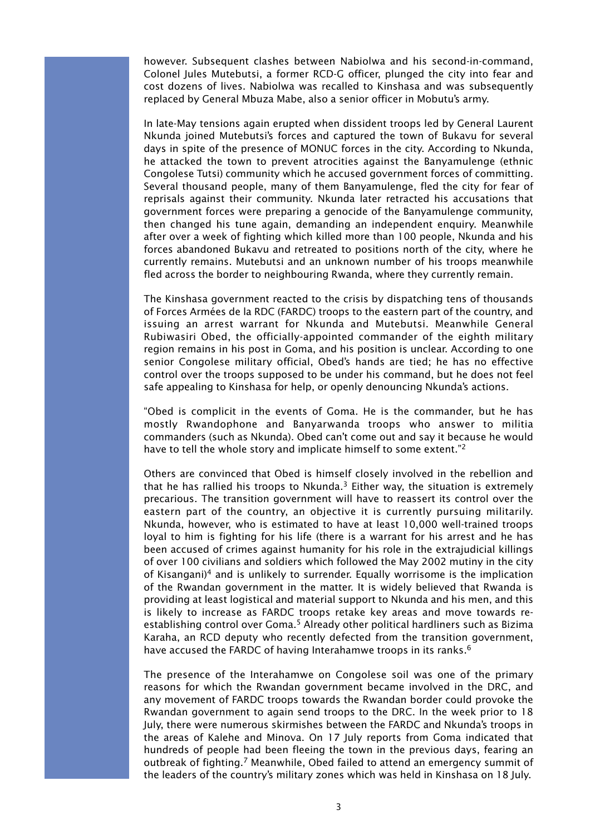however. Subsequent clashes between Nabiolwa and his second-in-command, Colonel Jules Mutebutsi, a former RCD-G officer, plunged the city into fear and cost dozens of lives. Nabiolwa was recalled to Kinshasa and was subsequently replaced by General Mbuza Mabe, also a senior officer in Mobutu's army.

In late-May tensions again erupted when dissident troops led by General Laurent Nkunda joined Mutebutsi's forces and captured the town of Bukavu for several days in spite of the presence of MONUC forces in the city. According to Nkunda, he attacked the town to prevent atrocities against the Banyamulenge (ethnic Congolese Tutsi) community which he accused government forces of committing. Several thousand people, many of them Banyamulenge, fled the city for fear of reprisals against their community. Nkunda later retracted his accusations that government forces were preparing a genocide of the Banyamulenge community, then changed his tune again, demanding an independent enquiry. Meanwhile after over a week of fighting which killed more than 100 people, Nkunda and his forces abandoned Bukavu and retreated to positions north of the city, where he currently remains. Mutebutsi and an unknown number of his troops meanwhile fled across the border to neighbouring Rwanda, where they currently remain.

The Kinshasa government reacted to the crisis by dispatching tens of thousands of Forces Armées de la RDC (FARDC) troops to the eastern part of the country, and issuing an arrest warrant for Nkunda and Mutebutsi. Meanwhile General Rubiwasiri Obed, the officially-appointed commander of the eighth military region remains in his post in Goma, and his position is unclear. According to one senior Congolese military official, Obed's hands are tied; he has no effective control over the troops supposed to be under his command, but he does not feel safe appealing to Kinshasa for help, or openly denouncing Nkunda's actions.

"Obed is complicit in the events of Goma. He is the commander, but he has mostly Rwandophone and Banyarwanda troops who answer to militia commanders (such as Nkunda). Obed can't come out and say it because he would have to tell the whole story and implicate himself to some extent."<sup>2</sup>

Others are convinced that Obed is himself closely involved in the rebellion and that he has rallied his troops to Nkunda.<sup>3</sup> Either way, the situation is extremely precarious. The transition government will have to reassert its control over the eastern part of the country, an objective it is currently pursuing militarily. Nkunda, however, who is estimated to have at least 10,000 well-trained troops loyal to him is fighting for his life (there is a warrant for his arrest and he has been accused of crimes against humanity for his role in the extrajudicial killings of over 100 civilians and soldiers which followed the May 2002 mutiny in the city of Kisangani)<sup>4</sup> and is unlikely to surrender. Equally worrisome is the implication of the Rwandan government in the matter. It is widely believed that Rwanda is providing at least logistical and material support to Nkunda and his men, and this is likely to increase as FARDC troops retake key areas and move towards reestablishing control over Goma.<sup>5</sup> Already other political hardliners such as Bizima Karaha, an RCD deputy who recently defected from the transition government, have accused the FARDC of having Interahamwe troops in its ranks.<sup>6</sup>

The presence of the Interahamwe on Congolese soil was one of the primary reasons for which the Rwandan government became involved in the DRC, and any movement of FARDC troops towards the Rwandan border could provoke the Rwandan government to again send troops to the DRC. In the week prior to 18 July, there were numerous skirmishes between the FARDC and Nkunda's troops in the areas of Kalehe and Minova. On 17 July reports from Goma indicated that hundreds of people had been fleeing the town in the previous days, fearing an outbreak of fighting.7 Meanwhile, Obed failed to attend an emergency summit of the leaders of the country's military zones which was held in Kinshasa on 18 July.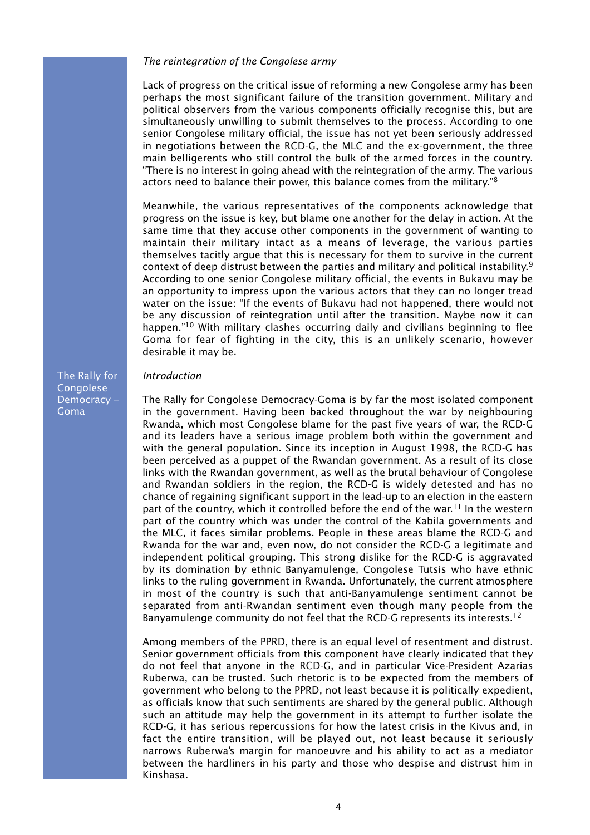#### *The reintegration of the Congolese army*

Lack of progress on the critical issue of reforming a new Congolese army has been perhaps the most significant failure of the transition government. Military and political observers from the various components officially recognise this, but are simultaneously unwilling to submit themselves to the process. According to one senior Congolese military official, the issue has not yet been seriously addressed in negotiations between the RCD-G, the MLC and the ex-government, the three main belligerents who still control the bulk of the armed forces in the country. "There is no interest in going ahead with the reintegration of the army. The various actors need to balance their power, this balance comes from the military."8

Meanwhile, the various representatives of the components acknowledge that progress on the issue is key, but blame one another for the delay in action. At the same time that they accuse other components in the government of wanting to maintain their military intact as a means of leverage, the various parties themselves tacitly argue that this is necessary for them to survive in the current context of deep distrust between the parties and military and political instability.9 According to one senior Congolese military official, the events in Bukavu may be an opportunity to impress upon the various actors that they can no longer tread water on the issue: "If the events of Bukavu had not happened, there would not be any discussion of reintegration until after the transition. Maybe now it can happen."<sup>10</sup> With military clashes occurring daily and civilians beginning to flee Goma for fear of fighting in the city, this is an unlikely scenario, however desirable it may be.

The Rally for **Congolese** Democracy – Goma

# *Introduction*

The Rally for Congolese Democracy-Goma is by far the most isolated component in the government. Having been backed throughout the war by neighbouring Rwanda, which most Congolese blame for the past five years of war, the RCD-G and its leaders have a serious image problem both within the government and with the general population. Since its inception in August 1998, the RCD-G has been perceived as a puppet of the Rwandan government. As a result of its close links with the Rwandan government, as well as the brutal behaviour of Congolese and Rwandan soldiers in the region, the RCD-G is widely detested and has no chance of regaining significant support in the lead-up to an election in the eastern part of the country, which it controlled before the end of the war.<sup>11</sup> In the western part of the country which was under the control of the Kabila governments and the MLC, it faces similar problems. People in these areas blame the RCD-G and Rwanda for the war and, even now, do not consider the RCD-G a legitimate and independent political grouping. This strong dislike for the RCD-G is aggravated by its domination by ethnic Banyamulenge, Congolese Tutsis who have ethnic links to the ruling government in Rwanda. Unfortunately, the current atmosphere in most of the country is such that anti-Banyamulenge sentiment cannot be separated from anti-Rwandan sentiment even though many people from the Banyamulenge community do not feel that the RCD-G represents its interests.<sup>12</sup>

Among members of the PPRD, there is an equal level of resentment and distrust. Senior government officials from this component have clearly indicated that they do not feel that anyone in the RCD-G, and in particular Vice-President Azarias Ruberwa, can be trusted. Such rhetoric is to be expected from the members of government who belong to the PPRD, not least because it is politically expedient, as officials know that such sentiments are shared by the general public. Although such an attitude may help the government in its attempt to further isolate the RCD-G, it has serious repercussions for how the latest crisis in the Kivus and, in fact the entire transition, will be played out, not least because it seriously narrows Ruberwa's margin for manoeuvre and his ability to act as a mediator between the hardliners in his party and those who despise and distrust him in Kinshasa.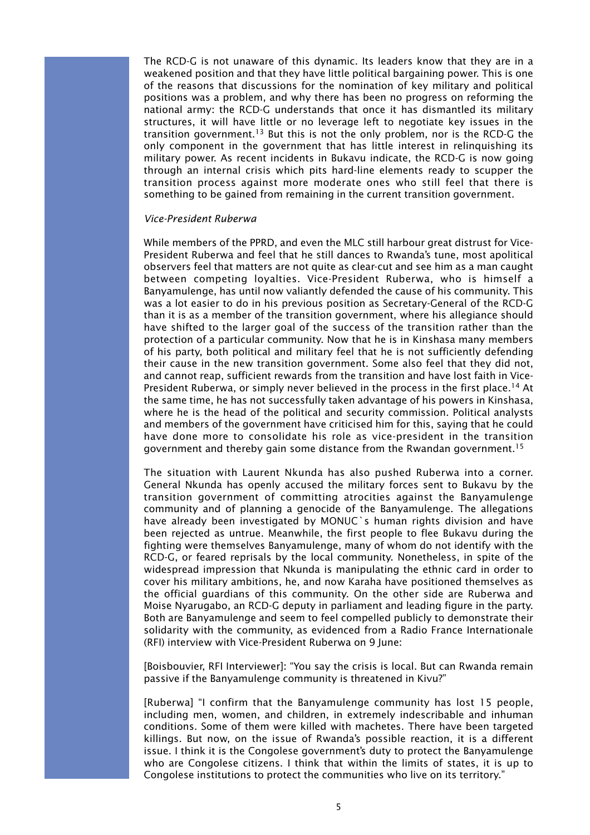The RCD-G is not unaware of this dynamic. Its leaders know that they are in a weakened position and that they have little political bargaining power. This is one of the reasons that discussions for the nomination of key military and political positions was a problem, and why there has been no progress on reforming the national army: the RCD-G understands that once it has dismantled its military structures, it will have little or no leverage left to negotiate key issues in the transition government.<sup>13</sup> But this is not the only problem, nor is the RCD-G the only component in the government that has little interest in relinquishing its military power. As recent incidents in Bukavu indicate, the RCD-G is now going through an internal crisis which pits hard-line elements ready to scupper the transition process against more moderate ones who still feel that there is something to be gained from remaining in the current transition government.

#### *Vice-President Ruberwa*

While members of the PPRD, and even the MLC still harbour great distrust for Vice-President Ruberwa and feel that he still dances to Rwanda's tune, most apolitical observers feel that matters are not quite as clear-cut and see him as a man caught between competing loyalties. Vice-President Ruberwa, who is himself a Banyamulenge, has until now valiantly defended the cause of his community. This was a lot easier to do in his previous position as Secretary-General of the RCD-G than it is as a member of the transition government, where his allegiance should have shifted to the larger goal of the success of the transition rather than the protection of a particular community. Now that he is in Kinshasa many members of his party, both political and military feel that he is not sufficiently defending their cause in the new transition government. Some also feel that they did not, and cannot reap, sufficient rewards from the transition and have lost faith in Vice-President Ruberwa, or simply never believed in the process in the first place.<sup>14</sup> At the same time, he has not successfully taken advantage of his powers in Kinshasa, where he is the head of the political and security commission. Political analysts and members of the government have criticised him for this, saying that he could have done more to consolidate his role as vice-president in the transition government and thereby gain some distance from the Rwandan government.15

The situation with Laurent Nkunda has also pushed Ruberwa into a corner. General Nkunda has openly accused the military forces sent to Bukavu by the transition government of committing atrocities against the Banyamulenge community and of planning a genocide of the Banyamulenge. The allegations have already been investigated by MONUC`s human rights division and have been rejected as untrue. Meanwhile, the first people to flee Bukavu during the fighting were themselves Banyamulenge, many of whom do not identify with the RCD-G, or feared reprisals by the local community. Nonetheless, in spite of the widespread impression that Nkunda is manipulating the ethnic card in order to cover his military ambitions, he, and now Karaha have positioned themselves as the official guardians of this community. On the other side are Ruberwa and Moise Nyarugabo, an RCD-G deputy in parliament and leading figure in the party. Both are Banyamulenge and seem to feel compelled publicly to demonstrate their solidarity with the community, as evidenced from a Radio France Internationale (RFI) interview with Vice-President Ruberwa on 9 June:

[Boisbouvier, RFI Interviewer]: "You say the crisis is local. But can Rwanda remain passive if the Banyamulenge community is threatened in Kivu?"

[Ruberwa] "I confirm that the Banyamulenge community has lost 15 people, including men, women, and children, in extremely indescribable and inhuman conditions. Some of them were killed with machetes. There have been targeted killings. But now, on the issue of Rwanda's possible reaction, it is a different issue. I think it is the Congolese government's duty to protect the Banyamulenge who are Congolese citizens. I think that within the limits of states, it is up to Congolese institutions to protect the communities who live on its territory."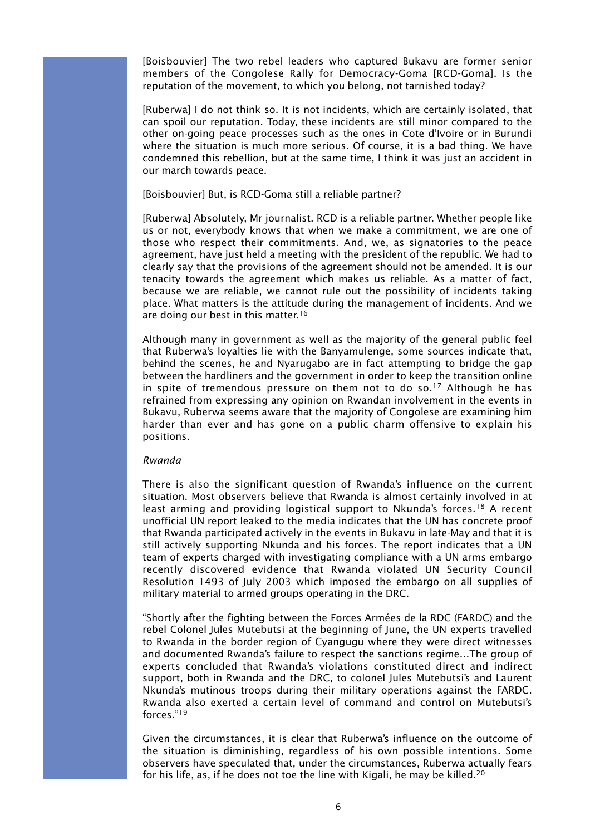[Boisbouvier] The two rebel leaders who captured Bukavu are former senior members of the Congolese Rally for Democracy-Goma [RCD-Goma]. Is the reputation of the movement, to which you belong, not tarnished today?

[Ruberwa] I do not think so. It is not incidents, which are certainly isolated, that can spoil our reputation. Today, these incidents are still minor compared to the other on-going peace processes such as the ones in Cote d'Ivoire or in Burundi where the situation is much more serious. Of course, it is a bad thing. We have condemned this rebellion, but at the same time, I think it was just an accident in our march towards peace.

#### [Boisbouvier] But, is RCD-Goma still a reliable partner?

[Ruberwa] Absolutely, Mr journalist. RCD is a reliable partner. Whether people like us or not, everybody knows that when we make a commitment, we are one of those who respect their commitments. And, we, as signatories to the peace agreement, have just held a meeting with the president of the republic. We had to clearly say that the provisions of the agreement should not be amended. It is our tenacity towards the agreement which makes us reliable. As a matter of fact, because we are reliable, we cannot rule out the possibility of incidents taking place. What matters is the attitude during the management of incidents. And we are doing our best in this matter.<sup>16</sup>

Although many in government as well as the majority of the general public feel that Ruberwa's loyalties lie with the Banyamulenge, some sources indicate that, behind the scenes, he and Nyarugabo are in fact attempting to bridge the gap between the hardliners and the government in order to keep the transition online in spite of tremendous pressure on them not to do so.<sup>17</sup> Although he has refrained from expressing any opinion on Rwandan involvement in the events in Bukavu, Ruberwa seems aware that the majority of Congolese are examining him harder than ever and has gone on a public charm offensive to explain his positions.

#### *Rwanda*

There is also the significant question of Rwanda's influence on the current situation. Most observers believe that Rwanda is almost certainly involved in at least arming and providing logistical support to Nkunda's forces.<sup>18</sup> A recent unofficial UN report leaked to the media indicates that the UN has concrete proof that Rwanda participated actively in the events in Bukavu in late-May and that it is still actively supporting Nkunda and his forces. The report indicates that a UN team of experts charged with investigating compliance with a UN arms embargo recently discovered evidence that Rwanda violated UN Security Council Resolution 1493 of July 2003 which imposed the embargo on all supplies of military material to armed groups operating in the DRC.

"Shortly after the fighting between the Forces Armées de la RDC (FARDC) and the rebel Colonel Jules Mutebutsi at the beginning of June, the UN experts travelled to Rwanda in the border region of Cyangugu where they were direct witnesses and documented Rwanda's failure to respect the sanctions regime…The group of experts concluded that Rwanda's violations constituted direct and indirect support, both in Rwanda and the DRC, to colonel Jules Mutebutsi's and Laurent Nkunda's mutinous troops during their military operations against the FARDC. Rwanda also exerted a certain level of command and control on Mutebutsi's forces."19

Given the circumstances, it is clear that Ruberwa's influence on the outcome of the situation is diminishing, regardless of his own possible intentions. Some observers have speculated that, under the circumstances, Ruberwa actually fears for his life, as, if he does not toe the line with Kigali, he may be killed.20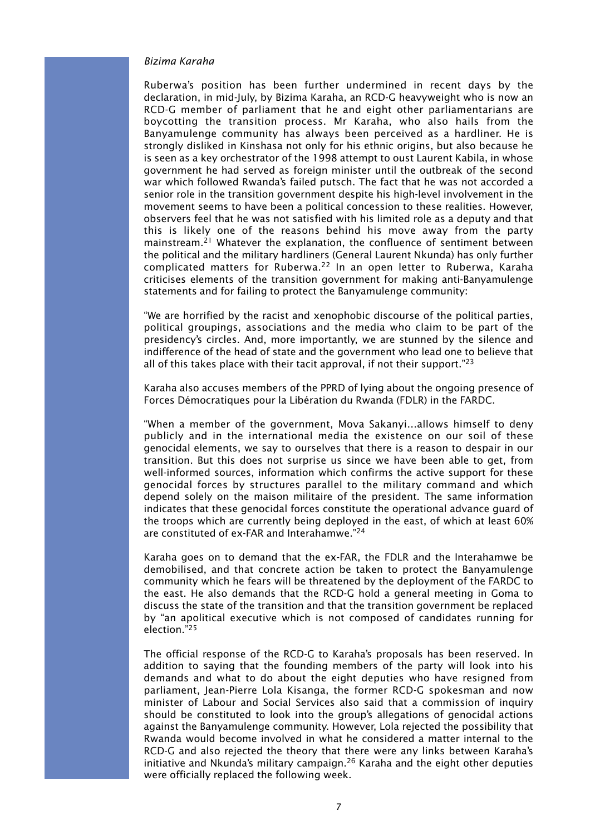#### *Bizima Karaha*

Ruberwa's position has been further undermined in recent days by the declaration, in mid-July, by Bizima Karaha, an RCD-G heavyweight who is now an RCD-G member of parliament that he and eight other parliamentarians are boycotting the transition process. Mr Karaha, who also hails from the Banyamulenge community has always been perceived as a hardliner. He is strongly disliked in Kinshasa not only for his ethnic origins, but also because he is seen as a key orchestrator of the 1998 attempt to oust Laurent Kabila, in whose government he had served as foreign minister until the outbreak of the second war which followed Rwanda's failed putsch. The fact that he was not accorded a senior role in the transition government despite his high-level involvement in the movement seems to have been a political concession to these realities. However, observers feel that he was not satisfied with his limited role as a deputy and that this is likely one of the reasons behind his move away from the party mainstream.<sup>21</sup> Whatever the explanation, the confluence of sentiment between the political and the military hardliners (General Laurent Nkunda) has only further complicated matters for Ruberwa.<sup>22</sup> In an open letter to Ruberwa, Karaha criticises elements of the transition government for making anti-Banyamulenge statements and for failing to protect the Banyamulenge community:

"We are horrified by the racist and xenophobic discourse of the political parties, political groupings, associations and the media who claim to be part of the presidency's circles. And, more importantly, we are stunned by the silence and indifference of the head of state and the government who lead one to believe that all of this takes place with their tacit approval, if not their support."<sup>23</sup>

Karaha also accuses members of the PPRD of lying about the ongoing presence of Forces Démocratiques pour la Libération du Rwanda (FDLR) in the FARDC.

"When a member of the government, Mova Sakanyi…allows himself to deny publicly and in the international media the existence on our soil of these genocidal elements, we say to ourselves that there is a reason to despair in our transition. But this does not surprise us since we have been able to get, from well-informed sources, information which confirms the active support for these genocidal forces by structures parallel to the military command and which depend solely on the maison militaire of the president. The same information indicates that these genocidal forces constitute the operational advance guard of the troops which are currently being deployed in the east, of which at least 60% are constituted of ex-FAR and Interahamwe."24

Karaha goes on to demand that the ex-FAR, the FDLR and the Interahamwe be demobilised, and that concrete action be taken to protect the Banyamulenge community which he fears will be threatened by the deployment of the FARDC to the east. He also demands that the RCD-G hold a general meeting in Goma to discuss the state of the transition and that the transition government be replaced by "an apolitical executive which is not composed of candidates running for election."25

The official response of the RCD-G to Karaha's proposals has been reserved. In addition to saying that the founding members of the party will look into his demands and what to do about the eight deputies who have resigned from parliament, Jean-Pierre Lola Kisanga, the former RCD-G spokesman and now minister of Labour and Social Services also said that a commission of inquiry should be constituted to look into the group's allegations of genocidal actions against the Banyamulenge community. However, Lola rejected the possibility that Rwanda would become involved in what he considered a matter internal to the RCD-G and also rejected the theory that there were any links between Karaha's initiative and Nkunda's military campaign.<sup>26</sup> Karaha and the eight other deputies were officially replaced the following week.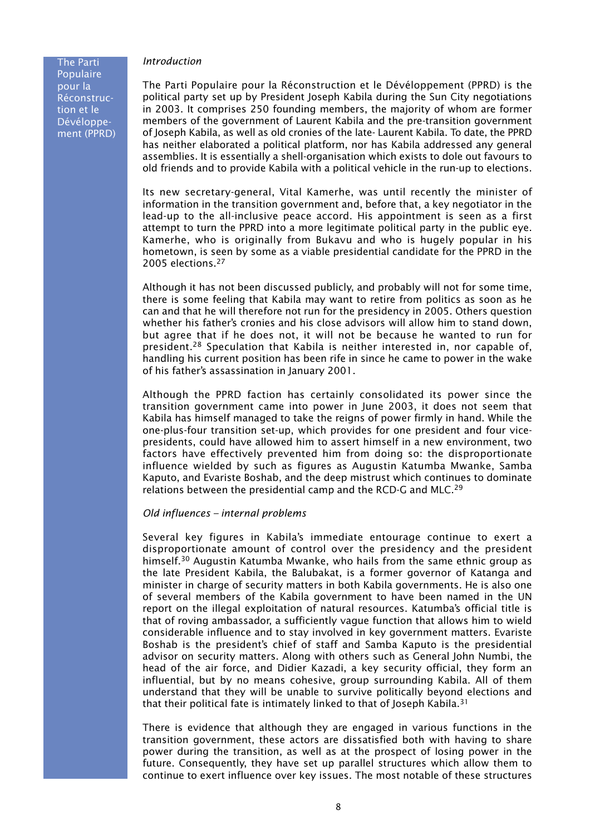#### *Introduction*

The Parti Populaire pour la Réconstruction et le Dévéloppement (PPRD)

The Parti Populaire pour la Réconstruction et le Dévéloppement (PPRD) is the political party set up by President Joseph Kabila during the Sun City negotiations in 2003. It comprises 250 founding members, the majority of whom are former members of the government of Laurent Kabila and the pre-transition government of Joseph Kabila, as well as old cronies of the late- Laurent Kabila. To date, the PPRD has neither elaborated a political platform, nor has Kabila addressed any general assemblies. It is essentially a shell-organisation which exists to dole out favours to old friends and to provide Kabila with a political vehicle in the run-up to elections.

Its new secretary-general, Vital Kamerhe, was until recently the minister of information in the transition government and, before that, a key negotiator in the lead-up to the all-inclusive peace accord. His appointment is seen as a first attempt to turn the PPRD into a more legitimate political party in the public eye. Kamerhe, who is originally from Bukavu and who is hugely popular in his hometown, is seen by some as a viable presidential candidate for the PPRD in the 2005 elections.<sup>27</sup>

Although it has not been discussed publicly, and probably will not for some time, there is some feeling that Kabila may want to retire from politics as soon as he can and that he will therefore not run for the presidency in 2005. Others question whether his father's cronies and his close advisors will allow him to stand down, but agree that if he does not, it will not be because he wanted to run for president.28 Speculation that Kabila is neither interested in, nor capable of, handling his current position has been rife in since he came to power in the wake of his father's assassination in January 2001.

Although the PPRD faction has certainly consolidated its power since the transition government came into power in June 2003, it does not seem that Kabila has himself managed to take the reigns of power firmly in hand. While the one-plus-four transition set-up, which provides for one president and four vicepresidents, could have allowed him to assert himself in a new environment, two factors have effectively prevented him from doing so: the disproportionate influence wielded by such as figures as Augustin Katumba Mwanke, Samba Kaputo, and Evariste Boshab, and the deep mistrust which continues to dominate relations between the presidential camp and the RCD-G and MLC.<sup>29</sup>

#### *Old influences – internal problems*

Several key figures in Kabila's immediate entourage continue to exert a disproportionate amount of control over the presidency and the president himself.<sup>30</sup> Augustin Katumba Mwanke, who hails from the same ethnic group as the late President Kabila, the Balubakat, is a former governor of Katanga and minister in charge of security matters in both Kabila governments. He is also one of several members of the Kabila government to have been named in the UN report on the illegal exploitation of natural resources. Katumba's official title is that of roving ambassador, a sufficiently vague function that allows him to wield considerable influence and to stay involved in key government matters. Evariste Boshab is the president's chief of staff and Samba Kaputo is the presidential advisor on security matters. Along with others such as General John Numbi, the head of the air force, and Didier Kazadi, a key security official, they form an influential, but by no means cohesive, group surrounding Kabila. All of them understand that they will be unable to survive politically beyond elections and that their political fate is intimately linked to that of Joseph Kabila.<sup>31</sup>

There is evidence that although they are engaged in various functions in the transition government, these actors are dissatisfied both with having to share power during the transition, as well as at the prospect of losing power in the future. Consequently, they have set up parallel structures which allow them to continue to exert influence over key issues. The most notable of these structures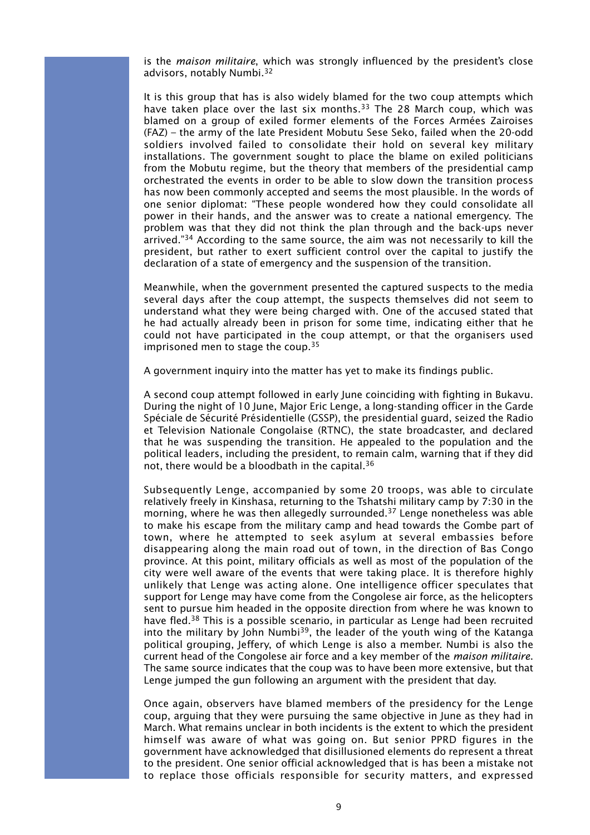is the *maison militaire*, which was strongly influenced by the president's close advisors, notably Numbi.32

It is this group that has is also widely blamed for the two coup attempts which have taken place over the last six months.<sup>33</sup> The 28 March coup, which was blamed on a group of exiled former elements of the Forces Armées Zairoises (FAZ) – the army of the late President Mobutu Sese Seko, failed when the 20-odd soldiers involved failed to consolidate their hold on several key military installations. The government sought to place the blame on exiled politicians from the Mobutu regime, but the theory that members of the presidential camp orchestrated the events in order to be able to slow down the transition process has now been commonly accepted and seems the most plausible. In the words of one senior diplomat: "These people wondered how they could consolidate all power in their hands, and the answer was to create a national emergency. The problem was that they did not think the plan through and the back-ups never arrived."34 According to the same source, the aim was not necessarily to kill the president, but rather to exert sufficient control over the capital to justify the declaration of a state of emergency and the suspension of the transition.

Meanwhile, when the government presented the captured suspects to the media several days after the coup attempt, the suspects themselves did not seem to understand what they were being charged with. One of the accused stated that he had actually already been in prison for some time, indicating either that he could not have participated in the coup attempt, or that the organisers used imprisoned men to stage the coup.<sup>35</sup>

A government inquiry into the matter has yet to make its findings public.

A second coup attempt followed in early June coinciding with fighting in Bukavu. During the night of 10 June, Major Eric Lenge, a long-standing officer in the Garde Spéciale de Sécurité Présidentielle (GSSP), the presidential guard, seized the Radio et Television Nationale Congolaise (RTNC), the state broadcaster, and declared that he was suspending the transition. He appealed to the population and the political leaders, including the president, to remain calm, warning that if they did not, there would be a bloodbath in the capital.36

Subsequently Lenge, accompanied by some 20 troops, was able to circulate relatively freely in Kinshasa, returning to the Tshatshi military camp by 7:30 in the morning, where he was then allegedly surrounded.<sup>37</sup> Lenge nonetheless was able to make his escape from the military camp and head towards the Gombe part of town, where he attempted to seek asylum at several embassies before disappearing along the main road out of town, in the direction of Bas Congo province. At this point, military officials as well as most of the population of the city were well aware of the events that were taking place. It is therefore highly unlikely that Lenge was acting alone. One intelligence officer speculates that support for Lenge may have come from the Congolese air force, as the helicopters sent to pursue him headed in the opposite direction from where he was known to have fled.38 This is a possible scenario, in particular as Lenge had been recruited into the military by John Numbi<sup>39</sup>, the leader of the youth wing of the Katanga political grouping, Jeffery, of which Lenge is also a member. Numbi is also the current head of the Congolese air force and a key member of the *maison militaire*. The same source indicates that the coup was to have been more extensive, but that Lenge jumped the gun following an argument with the president that day.

Once again, observers have blamed members of the presidency for the Lenge coup, arguing that they were pursuing the same objective in June as they had in March. What remains unclear in both incidents is the extent to which the president himself was aware of what was going on. But senior PPRD figures in the government have acknowledged that disillusioned elements do represent a threat to the president. One senior official acknowledged that is has been a mistake not to replace those officials responsible for security matters, and expressed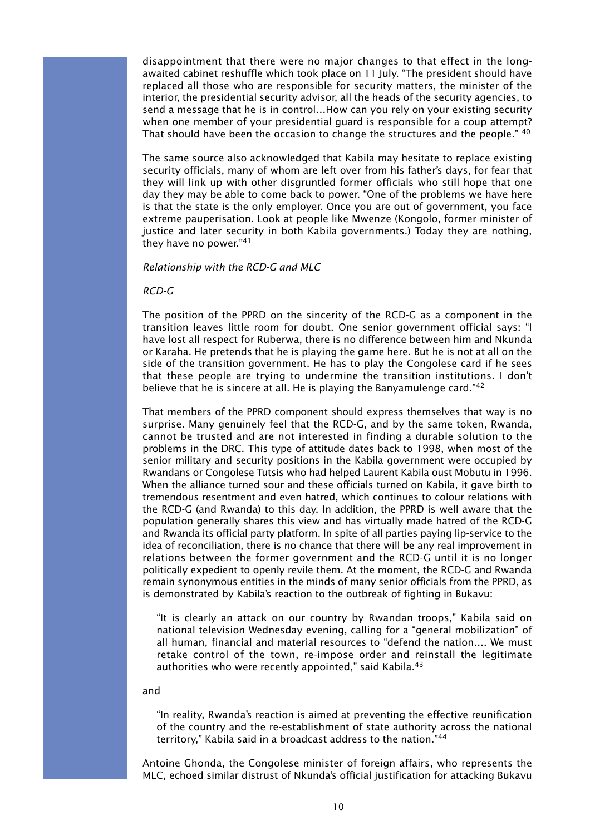disappointment that there were no major changes to that effect in the longawaited cabinet reshuffle which took place on 11 July. "The president should have replaced all those who are responsible for security matters, the minister of the interior, the presidential security advisor, all the heads of the security agencies, to send a message that he is in control…How can you rely on your existing security when one member of your presidential guard is responsible for a coup attempt? That should have been the occasion to change the structures and the people." 40

The same source also acknowledged that Kabila may hesitate to replace existing security officials, many of whom are left over from his father's days, for fear that they will link up with other disgruntled former officials who still hope that one day they may be able to come back to power. "One of the problems we have here is that the state is the only employer. Once you are out of government, you face extreme pauperisation. Look at people like Mwenze (Kongolo, former minister of justice and later security in both Kabila governments.) Today they are nothing, they have no power."41

### *Relationship with the RCD-G and MLC*

# *RCD-G*

The position of the PPRD on the sincerity of the RCD-G as a component in the transition leaves little room for doubt. One senior government official says: "I have lost all respect for Ruberwa, there is no difference between him and Nkunda or Karaha. He pretends that he is playing the game here. But he is not at all on the side of the transition government. He has to play the Congolese card if he sees that these people are trying to undermine the transition institutions. I don't believe that he is sincere at all. He is playing the Banyamulenge card."<sup>42</sup>

That members of the PPRD component should express themselves that way is no surprise. Many genuinely feel that the RCD-G, and by the same token, Rwanda, cannot be trusted and are not interested in finding a durable solution to the problems in the DRC. This type of attitude dates back to 1998, when most of the senior military and security positions in the Kabila government were occupied by Rwandans or Congolese Tutsis who had helped Laurent Kabila oust Mobutu in 1996. When the alliance turned sour and these officials turned on Kabila, it gave birth to tremendous resentment and even hatred, which continues to colour relations with the RCD-G (and Rwanda) to this day. In addition, the PPRD is well aware that the population generally shares this view and has virtually made hatred of the RCD-G and Rwanda its official party platform. In spite of all parties paying lip-service to the idea of reconciliation, there is no chance that there will be any real improvement in relations between the former government and the RCD-G until it is no longer politically expedient to openly revile them. At the moment, the RCD-G and Rwanda remain synonymous entities in the minds of many senior officials from the PPRD, as is demonstrated by Kabila's reaction to the outbreak of fighting in Bukavu:

"It is clearly an attack on our country by Rwandan troops," Kabila said on national television Wednesday evening, calling for a "general mobilization" of all human, financial and material resources to "defend the nation…. We must retake control of the town, re-impose order and reinstall the legitimate authorities who were recently appointed," said Kabila.<sup>43</sup>

#### and

"In reality, Rwanda's reaction is aimed at preventing the effective reunification of the country and the re-establishment of state authority across the national territory," Kabila said in a broadcast address to the nation."44

Antoine Ghonda, the Congolese minister of foreign affairs, who represents the MLC, echoed similar distrust of Nkunda's official justification for attacking Bukavu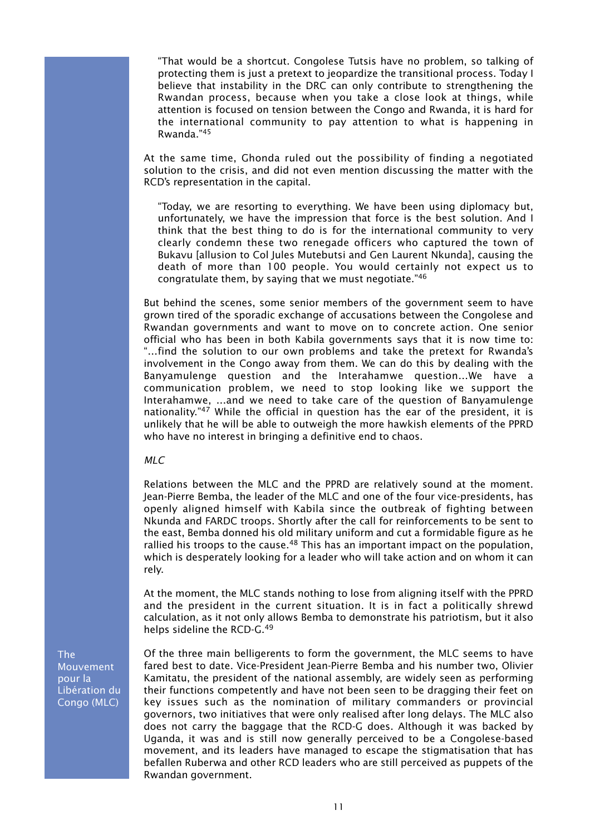"That would be a shortcut. Congolese Tutsis have no problem, so talking of protecting them is just a pretext to jeopardize the transitional process. Today I believe that instability in the DRC can only contribute to strengthening the Rwandan process, because when you take a close look at things, while attention is focused on tension between the Congo and Rwanda, it is hard for the international community to pay attention to what is happening in Rwanda."45

At the same time, Ghonda ruled out the possibility of finding a negotiated solution to the crisis, and did not even mention discussing the matter with the RCD's representation in the capital.

"Today, we are resorting to everything. We have been using diplomacy but, unfortunately, we have the impression that force is the best solution. And I think that the best thing to do is for the international community to very clearly condemn these two renegade officers who captured the town of Bukavu [allusion to Col Jules Mutebutsi and Gen Laurent Nkunda], causing the death of more than 100 people. You would certainly not expect us to congratulate them, by saying that we must negotiate."46

But behind the scenes, some senior members of the government seem to have grown tired of the sporadic exchange of accusations between the Congolese and Rwandan governments and want to move on to concrete action. One senior official who has been in both Kabila governments says that it is now time to: "…find the solution to our own problems and take the pretext for Rwanda's involvement in the Congo away from them. We can do this by dealing with the Banyamulenge question and the Interahamwe question…We have a communication problem, we need to stop looking like we support the Interahamwe, …and we need to take care of the question of Banyamulenge nationality."<sup>47</sup> While the official in question has the ear of the president, it is unlikely that he will be able to outweigh the more hawkish elements of the PPRD who have no interest in bringing a definitive end to chaos.

# *MLC*

Relations between the MLC and the PPRD are relatively sound at the moment. Jean-Pierre Bemba, the leader of the MLC and one of the four vice-presidents, has openly aligned himself with Kabila since the outbreak of fighting between Nkunda and FARDC troops. Shortly after the call for reinforcements to be sent to the east, Bemba donned his old military uniform and cut a formidable figure as he rallied his troops to the cause.<sup>48</sup> This has an important impact on the population, which is desperately looking for a leader who will take action and on whom it can rely.

At the moment, the MLC stands nothing to lose from aligning itself with the PPRD and the president in the current situation. It is in fact a politically shrewd calculation, as it not only allows Bemba to demonstrate his patriotism, but it also helps sideline the RCD-G.49

Of the three main belligerents to form the government, the MLC seems to have fared best to date. Vice-President Jean-Pierre Bemba and his number two, Olivier Kamitatu, the president of the national assembly, are widely seen as performing their functions competently and have not been seen to be dragging their feet on key issues such as the nomination of military commanders or provincial governors, two initiatives that were only realised after long delays. The MLC also does not carry the baggage that the RCD-G does. Although it was backed by Uganda, it was and is still now generally perceived to be a Congolese-based movement, and its leaders have managed to escape the stigmatisation that has befallen Ruberwa and other RCD leaders who are still perceived as puppets of the Rwandan government.

The Mouvement pour la Libération du Congo (MLC)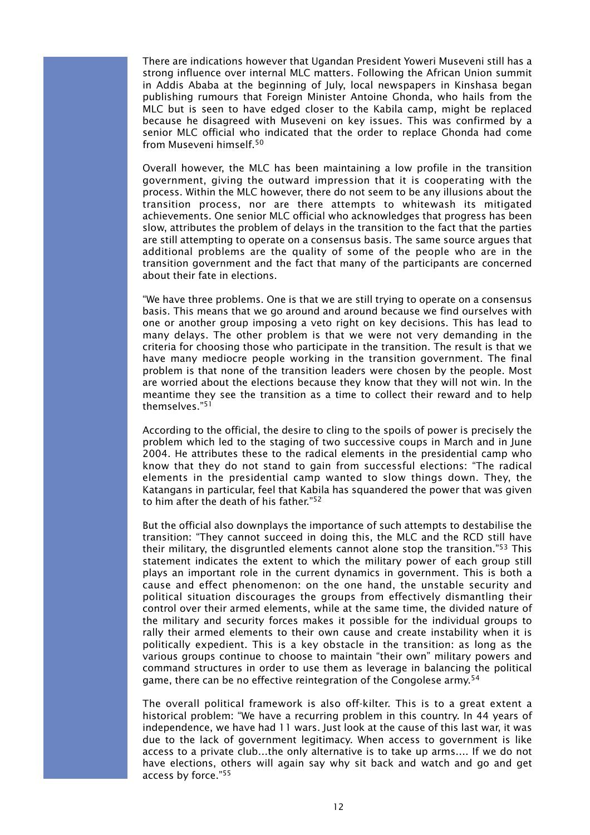There are indications however that Ugandan President Yoweri Museveni still has a strong influence over internal MLC matters. Following the African Union summit in Addis Ababa at the beginning of July, local newspapers in Kinshasa began publishing rumours that Foreign Minister Antoine Ghonda, who hails from the MLC but is seen to have edged closer to the Kabila camp, might be replaced because he disagreed with Museveni on key issues. This was confirmed by a senior MLC official who indicated that the order to replace Ghonda had come from Museveni himself.50

Overall however, the MLC has been maintaining a low profile in the transition government, giving the outward impression that it is cooperating with the process. Within the MLC however, there do not seem to be any illusions about the transition process, nor are there attempts to whitewash its mitigated achievements. One senior MLC official who acknowledges that progress has been slow, attributes the problem of delays in the transition to the fact that the parties are still attempting to operate on a consensus basis. The same source argues that additional problems are the quality of some of the people who are in the transition government and the fact that many of the participants are concerned about their fate in elections.

"We have three problems. One is that we are still trying to operate on a consensus basis. This means that we go around and around because we find ourselves with one or another group imposing a veto right on key decisions. This has lead to many delays. The other problem is that we were not very demanding in the criteria for choosing those who participate in the transition. The result is that we have many mediocre people working in the transition government. The final problem is that none of the transition leaders were chosen by the people. Most are worried about the elections because they know that they will not win. In the meantime they see the transition as a time to collect their reward and to help themselves."51

According to the official, the desire to cling to the spoils of power is precisely the problem which led to the staging of two successive coups in March and in June 2004. He attributes these to the radical elements in the presidential camp who know that they do not stand to gain from successful elections: "The radical elements in the presidential camp wanted to slow things down. They, the Katangans in particular, feel that Kabila has squandered the power that was given to him after the death of his father."52

But the official also downplays the importance of such attempts to destabilise the transition: "They cannot succeed in doing this, the MLC and the RCD still have their military, the disgruntled elements cannot alone stop the transition."53 This statement indicates the extent to which the military power of each group still plays an important role in the current dynamics in government. This is both a cause and effect phenomenon: on the one hand, the unstable security and political situation discourages the groups from effectively dismantling their control over their armed elements, while at the same time, the divided nature of the military and security forces makes it possible for the individual groups to rally their armed elements to their own cause and create instability when it is politically expedient. This is a key obstacle in the transition: as long as the various groups continue to choose to maintain "their own" military powers and command structures in order to use them as leverage in balancing the political game, there can be no effective reintegration of the Congolese army.<sup>54</sup>

The overall political framework is also off-kilter. This is to a great extent a historical problem: "We have a recurring problem in this country. In 44 years of independence, we have had 11 wars. Just look at the cause of this last war, it was due to the lack of government legitimacy. When access to government is like access to a private club…the only alternative is to take up arms…. If we do not have elections, others will again say why sit back and watch and go and get access by force."55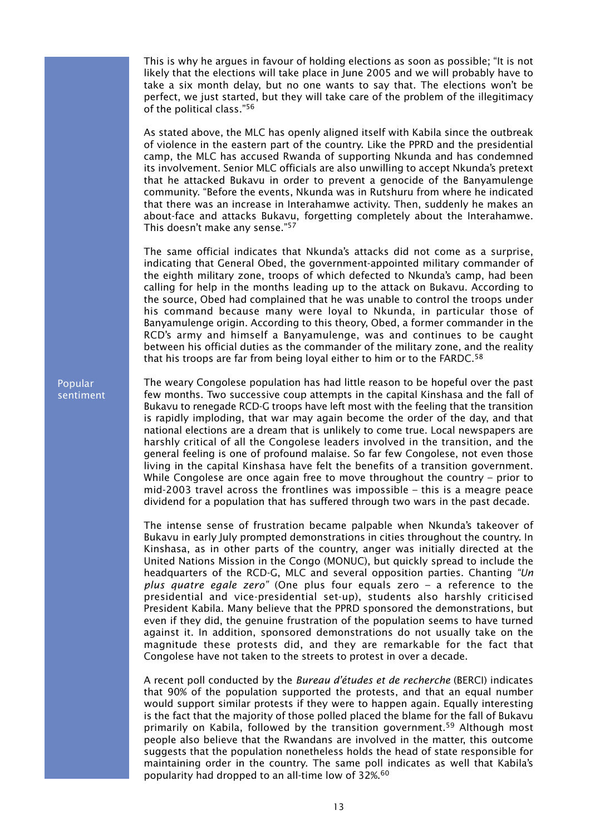This is why he argues in favour of holding elections as soon as possible; "It is not likely that the elections will take place in June 2005 and we will probably have to take a six month delay, but no one wants to say that. The elections won't be perfect, we just started, but they will take care of the problem of the illegitimacy of the political class."56

As stated above, the MLC has openly aligned itself with Kabila since the outbreak of violence in the eastern part of the country. Like the PPRD and the presidential camp, the MLC has accused Rwanda of supporting Nkunda and has condemned its involvement. Senior MLC officials are also unwilling to accept Nkunda's pretext that he attacked Bukavu in order to prevent a genocide of the Banyamulenge community. "Before the events, Nkunda was in Rutshuru from where he indicated that there was an increase in Interahamwe activity. Then, suddenly he makes an about-face and attacks Bukavu, forgetting completely about the Interahamwe. This doesn't make any sense."57

The same official indicates that Nkunda's attacks did not come as a surprise, indicating that General Obed, the government-appointed military commander of the eighth military zone, troops of which defected to Nkunda's camp, had been calling for help in the months leading up to the attack on Bukavu. According to the source, Obed had complained that he was unable to control the troops under his command because many were loyal to Nkunda, in particular those of Banyamulenge origin. According to this theory, Obed, a former commander in the RCD's army and himself a Banyamulenge, was and continues to be caught between his official duties as the commander of the military zone, and the reality that his troops are far from being loyal either to him or to the FARDC.<sup>58</sup>

The weary Congolese population has had little reason to be hopeful over the past few months. Two successive coup attempts in the capital Kinshasa and the fall of Bukavu to renegade RCD-G troops have left most with the feeling that the transition is rapidly imploding, that war may again become the order of the day, and that national elections are a dream that is unlikely to come true. Local newspapers are harshly critical of all the Congolese leaders involved in the transition, and the general feeling is one of profound malaise. So far few Congolese, not even those living in the capital Kinshasa have felt the benefits of a transition government. While Congolese are once again free to move throughout the country – prior to mid-2003 travel across the frontlines was impossible – this is a meagre peace dividend for a population that has suffered through two wars in the past decade.

The intense sense of frustration became palpable when Nkunda's takeover of Bukavu in early July prompted demonstrations in cities throughout the country. In Kinshasa, as in other parts of the country, anger was initially directed at the United Nations Mission in the Congo (MONUC), but quickly spread to include the headquarters of the RCD-G, MLC and several opposition parties. Chanting *"Un plus quatre egale zero"* (One plus four equals zero – a reference to the presidential and vice-presidential set-up), students also harshly criticised President Kabila. Many believe that the PPRD sponsored the demonstrations, but even if they did, the genuine frustration of the population seems to have turned against it. In addition, sponsored demonstrations do not usually take on the magnitude these protests did, and they are remarkable for the fact that Congolese have not taken to the streets to protest in over a decade.

A recent poll conducted by the *Bureau d'études et de recherche* (BERCI) indicates that 90% of the population supported the protests, and that an equal number would support similar protests if they were to happen again. Equally interesting is the fact that the majority of those polled placed the blame for the fall of Bukavu primarily on Kabila, followed by the transition government.59 Although most people also believe that the Rwandans are involved in the matter, this outcome suggests that the population nonetheless holds the head of state responsible for maintaining order in the country. The same poll indicates as well that Kabila's popularity had dropped to an all-time low of 32%.60

Popular sentiment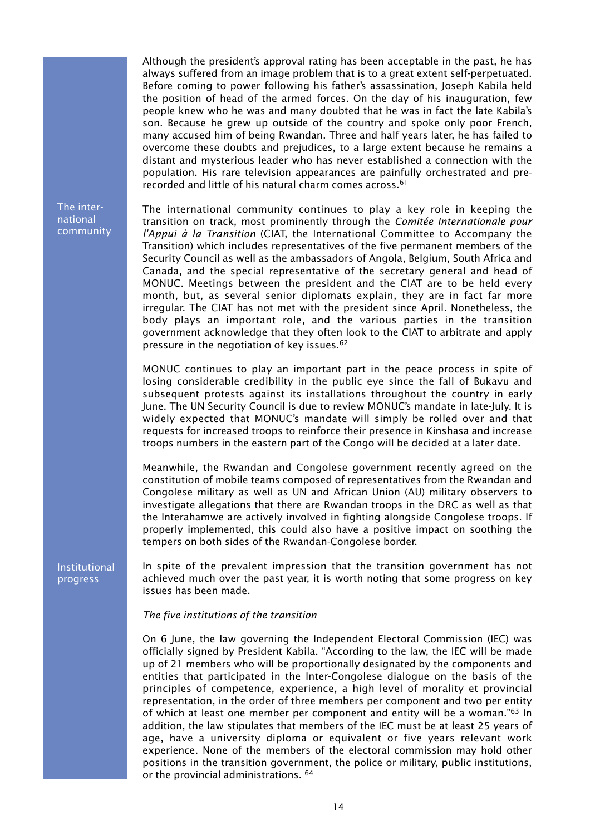Although the president's approval rating has been acceptable in the past, he has always suffered from an image problem that is to a great extent self-perpetuated. Before coming to power following his father's assassination, Joseph Kabila held the position of head of the armed forces. On the day of his inauguration, few people knew who he was and many doubted that he was in fact the late Kabila's son. Because he grew up outside of the country and spoke only poor French, many accused him of being Rwandan. Three and half years later, he has failed to overcome these doubts and prejudices, to a large extent because he remains a distant and mysterious leader who has never established a connection with the population. His rare television appearances are painfully orchestrated and prerecorded and little of his natural charm comes across.61

The international community

The international community continues to play a key role in keeping the transition on track, most prominently through the *Comitée Internationale pour l'Appui à la Transition* (CIAT, the International Committee to Accompany the Transition) which includes representatives of the five permanent members of the Security Council as well as the ambassadors of Angola, Belgium, South Africa and Canada, and the special representative of the secretary general and head of MONUC. Meetings between the president and the CIAT are to be held every month, but, as several senior diplomats explain, they are in fact far more irregular. The CIAT has not met with the president since April. Nonetheless, the body plays an important role, and the various parties in the transition government acknowledge that they often look to the CIAT to arbitrate and apply pressure in the negotiation of key issues.<sup>62</sup>

MONUC continues to play an important part in the peace process in spite of losing considerable credibility in the public eye since the fall of Bukavu and subsequent protests against its installations throughout the country in early June. The UN Security Council is due to review MONUC's mandate in late-July. It is widely expected that MONUC's mandate will simply be rolled over and that requests for increased troops to reinforce their presence in Kinshasa and increase troops numbers in the eastern part of the Congo will be decided at a later date.

Meanwhile, the Rwandan and Congolese government recently agreed on the constitution of mobile teams composed of representatives from the Rwandan and Congolese military as well as UN and African Union (AU) military observers to investigate allegations that there are Rwandan troops in the DRC as well as that the Interahamwe are actively involved in fighting alongside Congolese troops. If properly implemented, this could also have a positive impact on soothing the tempers on both sides of the Rwandan-Congolese border.

Institutional progress

In spite of the prevalent impression that the transition government has not achieved much over the past year, it is worth noting that some progress on key issues has been made.

#### *The five institutions of the transition*

On 6 June, the law governing the Independent Electoral Commission (IEC) was officially signed by President Kabila. "According to the law, the IEC will be made up of 21 members who will be proportionally designated by the components and entities that participated in the Inter-Congolese dialogue on the basis of the principles of competence, experience, a high level of morality et provincial representation, in the order of three members per component and two per entity of which at least one member per component and entity will be a woman."63 In addition, the law stipulates that members of the IEC must be at least 25 years of age, have a university diploma or equivalent or five years relevant work experience. None of the members of the electoral commission may hold other positions in the transition government, the police or military, public institutions, or the provincial administrations. 64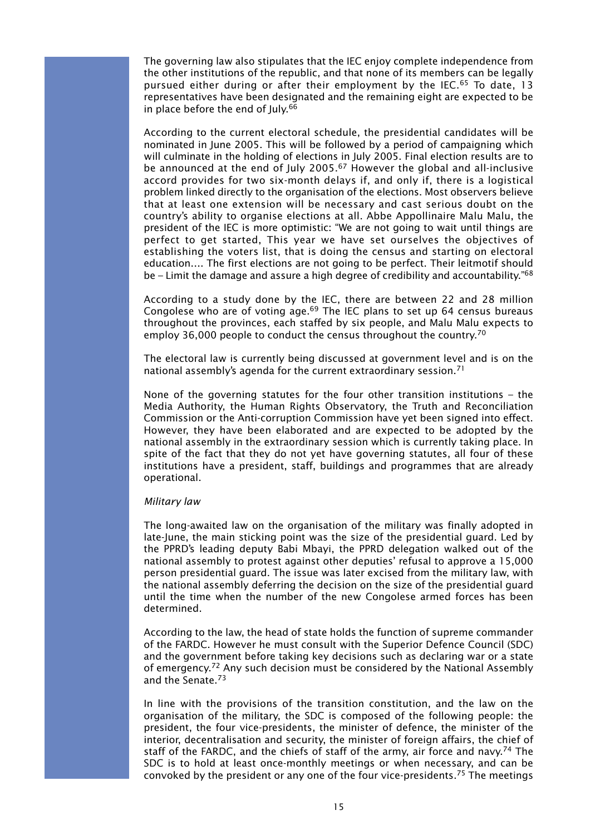The governing law also stipulates that the IEC enjoy complete independence from the other institutions of the republic, and that none of its members can be legally pursued either during or after their employment by the IEC.65 To date, 13 representatives have been designated and the remaining eight are expected to be in place before the end of July.<sup>66</sup>

According to the current electoral schedule, the presidential candidates will be nominated in June 2005. This will be followed by a period of campaigning which will culminate in the holding of elections in July 2005. Final election results are to be announced at the end of July 2005.67 However the global and all-inclusive accord provides for two six-month delays if, and only if, there is a logistical problem linked directly to the organisation of the elections. Most observers believe that at least one extension will be necessary and cast serious doubt on the country's ability to organise elections at all. Abbe Appollinaire Malu Malu, the president of the IEC is more optimistic: "We are not going to wait until things are perfect to get started, This year we have set ourselves the objectives of establishing the voters list, that is doing the census and starting on electoral education…. The first elections are not going to be perfect. Their leitmotif should be – Limit the damage and assure a high degree of credibility and accountability.<sup>768</sup>

According to a study done by the IEC, there are between 22 and 28 million Congolese who are of voting age.<sup>69</sup> The IEC plans to set up 64 census bureaus throughout the provinces, each staffed by six people, and Malu Malu expects to employ 36,000 people to conduct the census throughout the country.<sup>70</sup>

The electoral law is currently being discussed at government level and is on the national assembly's agenda for the current extraordinary session.71

None of the governing statutes for the four other transition institutions – the Media Authority, the Human Rights Observatory, the Truth and Reconciliation Commission or the Anti-corruption Commission have yet been signed into effect. However, they have been elaborated and are expected to be adopted by the national assembly in the extraordinary session which is currently taking place. In spite of the fact that they do not yet have governing statutes, all four of these institutions have a president, staff, buildings and programmes that are already operational.

#### *Military law*

The long-awaited law on the organisation of the military was finally adopted in late-June, the main sticking point was the size of the presidential guard. Led by the PPRD's leading deputy Babi Mbayi, the PPRD delegation walked out of the national assembly to protest against other deputies' refusal to approve a 15,000 person presidential guard. The issue was later excised from the military law, with the national assembly deferring the decision on the size of the presidential guard until the time when the number of the new Congolese armed forces has been determined.

According to the law, the head of state holds the function of supreme commander of the FARDC. However he must consult with the Superior Defence Council (SDC) and the government before taking key decisions such as declaring war or a state of emergency.<sup>72</sup> Any such decision must be considered by the National Assembly and the Senate.73

In line with the provisions of the transition constitution, and the law on the organisation of the military, the SDC is composed of the following people: the president, the four vice-presidents, the minister of defence, the minister of the interior, decentralisation and security, the minister of foreign affairs, the chief of staff of the FARDC, and the chiefs of staff of the army, air force and navy.<sup>74</sup> The SDC is to hold at least once-monthly meetings or when necessary, and can be convoked by the president or any one of the four vice-presidents.75 The meetings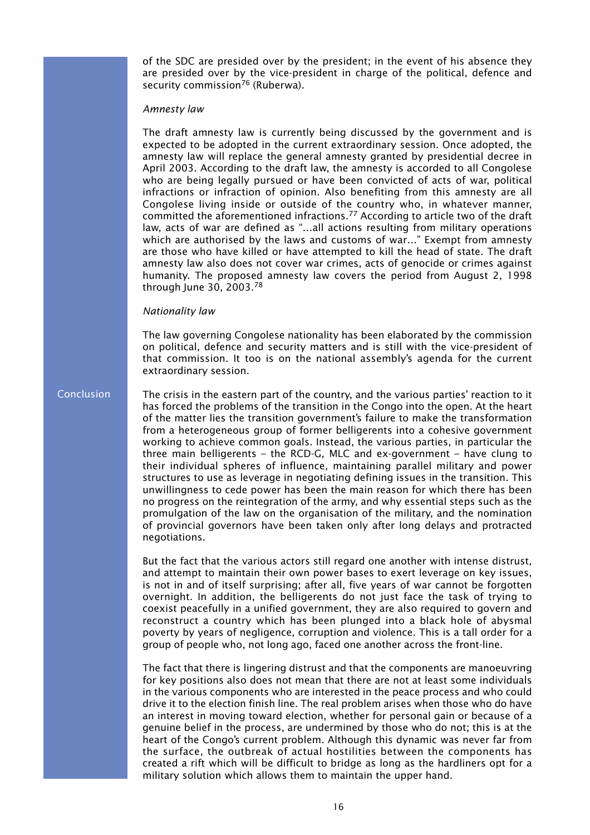of the SDC are presided over by the president; in the event of his absence they are presided over by the vice-president in charge of the political, defence and security commission<sup>76</sup> (Ruberwa).

#### *Amnesty law*

The draft amnesty law is currently being discussed by the government and is expected to be adopted in the current extraordinary session. Once adopted, the amnesty law will replace the general amnesty granted by presidential decree in April 2003. According to the draft law, the amnesty is accorded to all Congolese who are being legally pursued or have been convicted of acts of war, political infractions or infraction of opinion. Also benefiting from this amnesty are all Congolese living inside or outside of the country who, in whatever manner, committed the aforementioned infractions.77 According to article two of the draft law, acts of war are defined as "…all actions resulting from military operations which are authorised by the laws and customs of war…" Exempt from amnesty are those who have killed or have attempted to kill the head of state. The draft amnesty law also does not cover war crimes, acts of genocide or crimes against humanity. The proposed amnesty law covers the period from August 2, 1998 through June 30, 2003.78

#### *Nationality law*

The law governing Congolese nationality has been elaborated by the commission on political, defence and security matters and is still with the vice-president of that commission. It too is on the national assembly's agenda for the current extraordinary session.

#### **Conclusion**

The crisis in the eastern part of the country, and the various parties' reaction to it has forced the problems of the transition in the Congo into the open. At the heart of the matter lies the transition government's failure to make the transformation from a heterogeneous group of former belligerents into a cohesive government working to achieve common goals. Instead, the various parties, in particular the three main belligerents – the RCD-G, MLC and ex-government – have clung to their individual spheres of influence, maintaining parallel military and power structures to use as leverage in negotiating defining issues in the transition. This unwillingness to cede power has been the main reason for which there has been no progress on the reintegration of the army, and why essential steps such as the promulgation of the law on the organisation of the military, and the nomination of provincial governors have been taken only after long delays and protracted negotiations.

But the fact that the various actors still regard one another with intense distrust, and attempt to maintain their own power bases to exert leverage on key issues, is not in and of itself surprising; after all, five years of war cannot be forgotten overnight. In addition, the belligerents do not just face the task of trying to coexist peacefully in a unified government, they are also required to govern and reconstruct a country which has been plunged into a black hole of abysmal poverty by years of negligence, corruption and violence. This is a tall order for a group of people who, not long ago, faced one another across the front-line.

The fact that there is lingering distrust and that the components are manoeuvring for key positions also does not mean that there are not at least some individuals in the various components who are interested in the peace process and who could drive it to the election finish line. The real problem arises when those who do have an interest in moving toward election, whether for personal gain or because of a genuine belief in the process, are undermined by those who do not; this is at the heart of the Congo's current problem. Although this dynamic was never far from the surface, the outbreak of actual hostilities between the components has created a rift which will be difficult to bridge as long as the hardliners opt for a military solution which allows them to maintain the upper hand.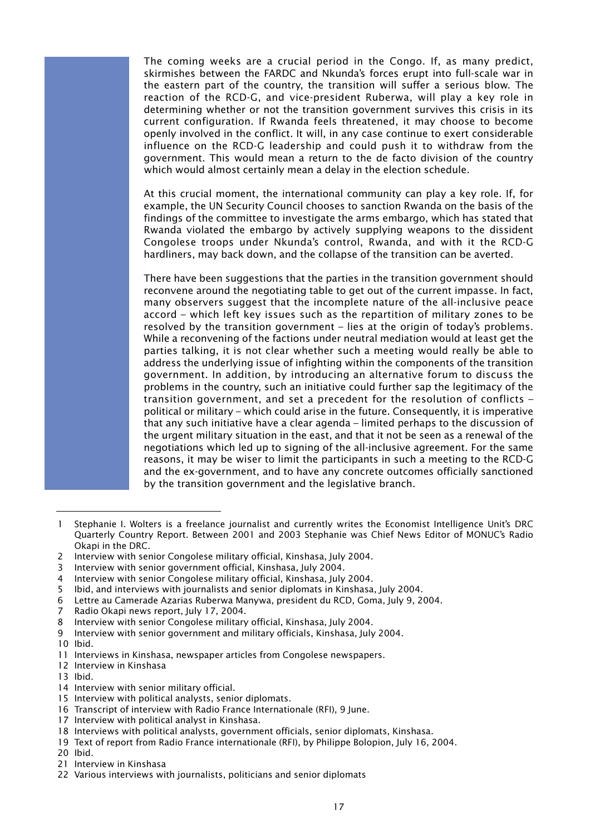The coming weeks are a crucial period in the Congo. If, as many predict, skirmishes between the FARDC and Nkunda's forces erupt into full-scale war in the eastern part of the country, the transition will suffer a serious blow. The reaction of the RCD-G, and vice-president Ruberwa, will play a key role in determining whether or not the transition government survives this crisis in its current configuration. If Rwanda feels threatened, it may choose to become openly involved in the conflict. It will, in any case continue to exert considerable influence on the RCD-G leadership and could push it to withdraw from the government. This would mean a return to the de facto division of the country which would almost certainly mean a delay in the election schedule.

At this crucial moment, the international community can play a key role. If, for example, the UN Security Council chooses to sanction Rwanda on the basis of the findings of the committee to investigate the arms embargo, which has stated that Rwanda violated the embargo by actively supplying weapons to the dissident Congolese troops under Nkunda's control, Rwanda, and with it the RCD-G hardliners, may back down, and the collapse of the transition can be averted.

There have been suggestions that the parties in the transition government should reconvene around the negotiating table to get out of the current impasse. In fact, many observers suggest that the incomplete nature of the all-inclusive peace accord – which left key issues such as the repartition of military zones to be resolved by the transition government – lies at the origin of today's problems. While a reconvening of the factions under neutral mediation would at least get the parties talking, it is not clear whether such a meeting would really be able to address the underlying issue of infighting within the components of the transition government. In addition, by introducing an alternative forum to discuss the problems in the country, such an initiative could further sap the legitimacy of the transition government, and set a precedent for the resolution of conflicts – political or military – which could arise in the future. Consequently, it is imperative that any such initiative have a clear agenda – limited perhaps to the discussion of the urgent military situation in the east, and that it not be seen as a renewal of the negotiations which led up to signing of the all-inclusive agreement. For the same reasons, it may be wiser to limit the participants in such a meeting to the RCD-G and the ex-government, and to have any concrete outcomes officially sanctioned by the transition government and the legislative branch.

5 Ibid, and interviews with journalists and senior diplomats in Kinshasa, July 2004.

7 Radio Okapi news report, July 17, 2004.

10 Ibid.

- 12 Interview in Kinshasa
- 13 Ibid.

<sup>1</sup> Stephanie I. Wolters is a freelance journalist and currently writes the Economist Intelligence Unit's DRC Quarterly Country Report. Between 2001 and 2003 Stephanie was Chief News Editor of MONUC's Radio Okapi in the DRC.

<sup>2</sup> Interview with senior Congolese military official, Kinshasa, July 2004.

<sup>3</sup> Interview with senior government official, Kinshasa, July 2004.

<sup>4</sup> Interview with senior Congolese military official, Kinshasa, July 2004.

<sup>6</sup> Lettre au Camerade Azarias Ruberwa Manywa, president du RCD, Goma, July 9, 2004.

<sup>8</sup> Interview with senior Congolese military official, Kinshasa, July 2004.

<sup>9</sup> Interview with senior government and military officials, Kinshasa, July 2004.

<sup>11</sup> Interviews in Kinshasa, newspaper articles from Congolese newspapers.

<sup>14</sup> Interview with senior military official.

<sup>15</sup> Interview with political analysts, senior diplomats.

<sup>16</sup> Transcript of interview with Radio France Internationale (RFI), 9 June.

<sup>17</sup> Interview with political analyst in Kinshasa.

<sup>18</sup> Interviews with political analysts, government officials, senior diplomats, Kinshasa.

<sup>19</sup> Text of report from Radio France internationale (RFI), by Philippe Bolopion, July 16, 2004.

<sup>20</sup> Ibid.

<sup>21</sup> Interview in Kinshasa

<sup>22</sup> Various interviews with journalists, politicians and senior diplomats